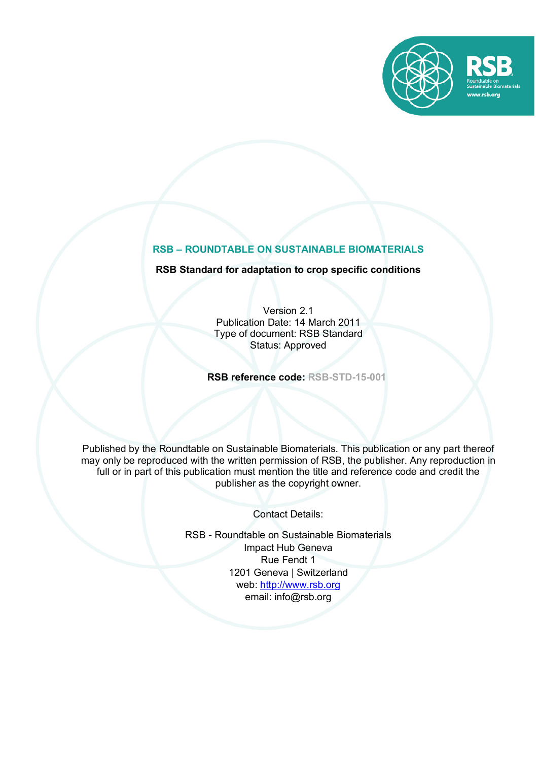

# **RSB – ROUNDTABLE ON SUSTAINABLE BIOMATERIALS**

## **RSB Standard for adaptation to crop specific conditions**

Version 2.1 Publication Date: 14 March 2011 Type of document: RSB Standard Status: Approved

**RSB reference code: RSB-STD-15-001**

Published by the Roundtable on Sustainable Biomaterials. This publication or any part thereof may only be reproduced with the written permission of RSB, the publisher. Any reproduction in full or in part of this publication must mention the title and reference code and credit the publisher as the copyright owner.

Contact Details:

RSB - Roundtable on Sustainable Biomaterials Impact Hub Geneva Rue Fendt 1 1201 Geneva | Switzerland web: http://www.rsb.org email: info@rsb.org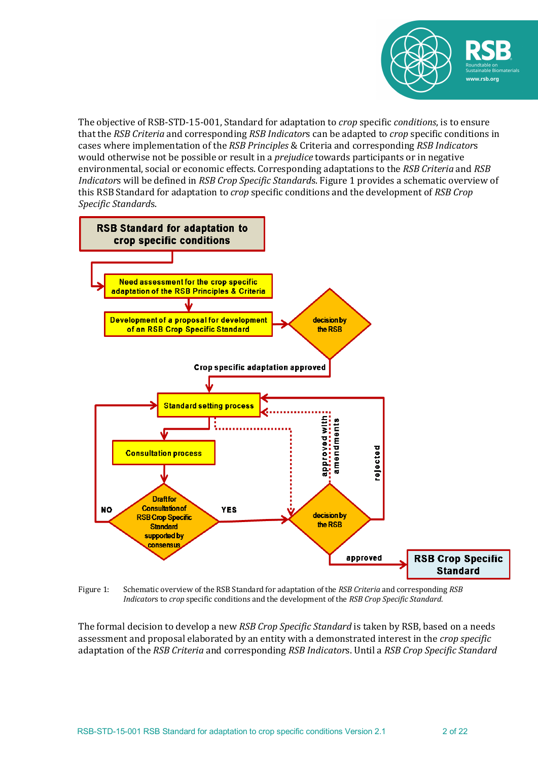

The objective of RSB-STD-15-001, Standard for adaptation to *crop* specific *conditions*, is to ensure that the *RSB Criteria* and corresponding *RSB Indicators* can be adapted to *crop* specific conditions in cases where implementation of the *RSB Principles* & Criteria and corresponding *RSB Indicators* would otherwise not be possible or result in a *prejudice* towards participants or in negative environmental, social or economic effects. Corresponding adaptations to the *RSB Criteria* and *RSB Indicators* will be defined in *RSB Crop Specific Standards*. Figure 1 provides a schematic overview of this RSB Standard for adaptation to *crop* specific conditions and the development of *RSB Crop Specific Standard*s. 



Figure 1: Schematic overview of the RSB Standard for adaptation of the *RSB Criteria* and corresponding *RSB Indicators* to *crop* specific conditions and the development of the *RSB Crop Specific Standard*.

The formal decision to develop a new *RSB Crop Specific Standard* is taken by RSB, based on a needs assessment and proposal elaborated by an entity with a demonstrated interest in the *crop specific* adaptation of the *RSB Criteria* and corresponding *RSB Indicator*s. Until a *RSB Crop Specific Standard*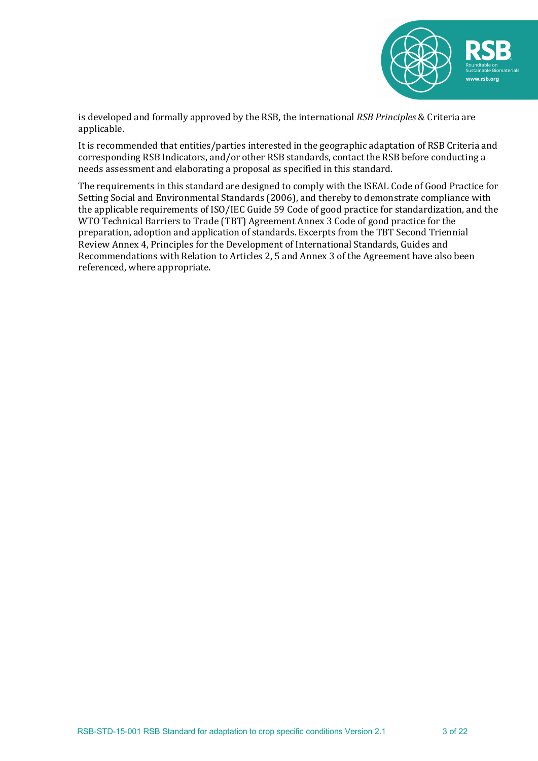

is developed and formally approved by the RSB, the international *RSB Principles* & Criteria are applicable. 

It is recommended that entities/parties interested in the geographic adaptation of RSB Criteria and corresponding RSB Indicators, and/or other RSB standards, contact the RSB before conducting a needs assessment and elaborating a proposal as specified in this standard.

The requirements in this standard are designed to comply with the ISEAL Code of Good Practice for Setting Social and Environmental Standards (2006), and thereby to demonstrate compliance with the applicable requirements of ISO/IEC Guide 59 Code of good practice for standardization, and the WTO Technical Barriers to Trade (TBT) Agreement Annex 3 Code of good practice for the preparation, adoption and application of standards. Excerpts from the TBT Second Triennial Review Annex 4, Principles for the Development of International Standards, Guides and Recommendations with Relation to Articles 2, 5 and Annex 3 of the Agreement have also been referenced, where appropriate.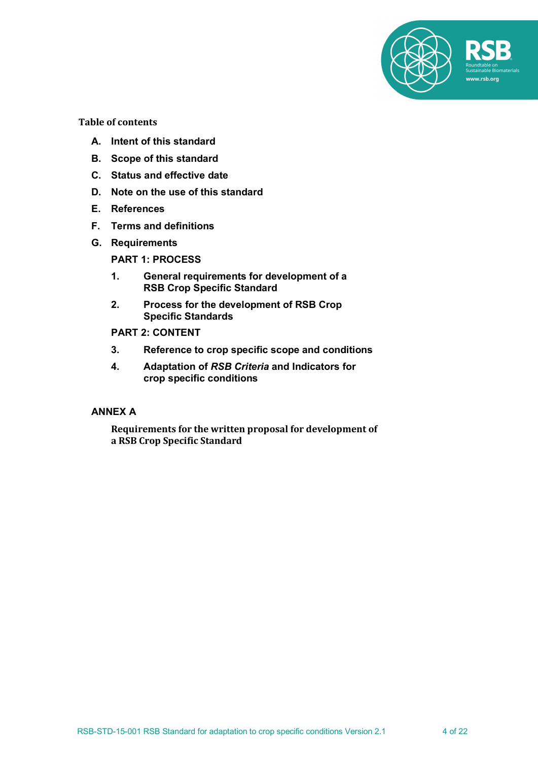

**Table of contents**

- **A. Intent of this standard**
- **B. Scope of this standard**
- **C. Status and effective date**
- **D. Note on the use of this standard**
- **E. References**
- **F. Terms and definitions**
- **G. Requirements**

#### **PART 1: PROCESS**

- **1. General requirements for development of a RSB Crop Specific Standard**
- **2. Process for the development of RSB Crop Specific Standards**

# **PART 2: CONTENT**

- **3. Reference to crop specific scope and conditions**
- **4. Adaptation of** *RSB Criteria* **and Indicators for crop specific conditions**

# **ANNEX A**

Requirements for the written proposal for development of **a RSB Crop Specific Standard**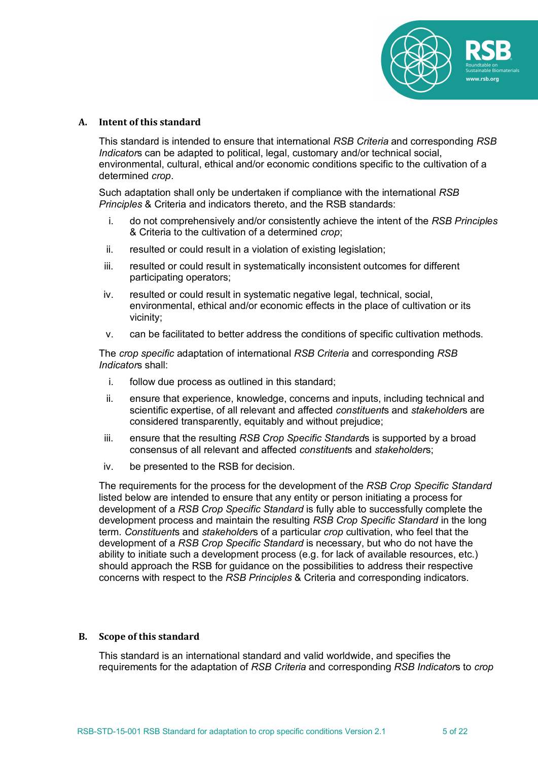

#### **A. Intent of this standard**

This standard is intended to ensure that international *RSB Criteria* and corresponding *RSB Indicator*s can be adapted to political, legal, customary and/or technical social, environmental, cultural, ethical and/or economic conditions specific to the cultivation of a determined *crop*.

Such adaptation shall only be undertaken if compliance with the international *RSB Principles* & Criteria and indicators thereto, and the RSB standards:

- i. do not comprehensively and/or consistently achieve the intent of the *RSB Principles* & Criteria to the cultivation of a determined *crop*;
- ii. resulted or could result in a violation of existing legislation;
- iii. resulted or could result in systematically inconsistent outcomes for different participating operators;
- iv. resulted or could result in systematic negative legal, technical, social, environmental, ethical and/or economic effects in the place of cultivation or its vicinity;
- v. can be facilitated to better address the conditions of specific cultivation methods.

The *crop specific* adaptation of international *RSB Criteria* and corresponding *RSB Indicator*s shall:

- i. follow due process as outlined in this standard;
- ii. ensure that experience, knowledge, concerns and inputs, including technical and scientific expertise, of all relevant and affected *constituent*s and *stakeholder*s are considered transparently, equitably and without prejudice;
- iii. ensure that the resulting *RSB Crop Specific Standard*s is supported by a broad consensus of all relevant and affected *constituent*s and *stakeholder*s;
- iv. be presented to the RSB for decision.

The requirements for the process for the development of the *RSB Crop Specific Standard* listed below are intended to ensure that any entity or person initiating a process for development of a *RSB Crop Specific Standard* is fully able to successfully complete the development process and maintain the resulting *RSB Crop Specific Standard* in the long term. *Constituent*s and *stakeholder*s of a particular *crop* cultivation, who feel that the development of a *RSB Crop Specific Standard* is necessary, but who do not have the ability to initiate such a development process (e.g. for lack of available resources, etc.) should approach the RSB for guidance on the possibilities to address their respective concerns with respect to the *RSB Principles* & Criteria and corresponding indicators.

#### **B.** Scope of this standard

This standard is an international standard and valid worldwide, and specifies the requirements for the adaptation of *RSB Criteria* and corresponding *RSB Indicator*s to *crop*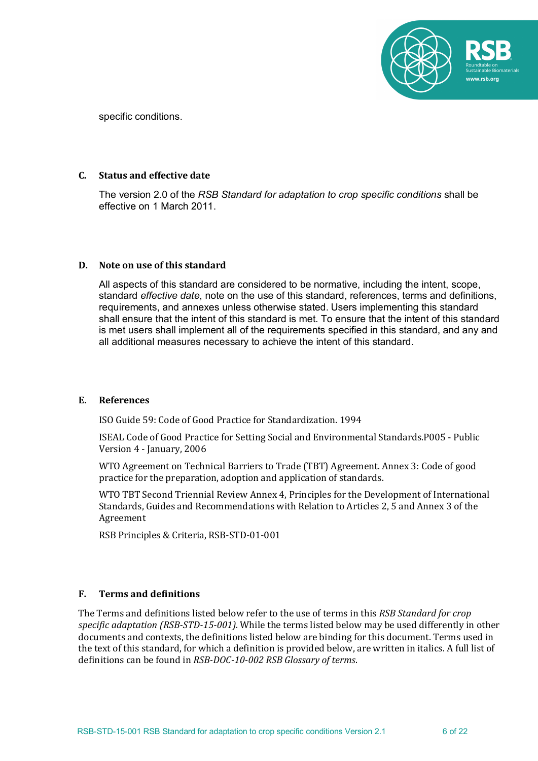

specific conditions.

#### **C. Status and effective date**

The version 2.0 of the *RSB Standard for adaptation to crop specific conditions* shall be effective on 1 March 2011.

#### **D.** Note on use of this standard

All aspects of this standard are considered to be normative, including the intent, scope, standard *effective date*, note on the use of this standard, references, terms and definitions, requirements, and annexes unless otherwise stated. Users implementing this standard shall ensure that the intent of this standard is met. To ensure that the intent of this standard is met users shall implement all of the requirements specified in this standard, and any and all additional measures necessary to achieve the intent of this standard.

#### **E. References**

ISO Guide 59: Code of Good Practice for Standardization. 1994

ISEAL Code of Good Practice for Setting Social and Environmental Standards.P005 - Public Version 4 - January, 2006

WTO Agreement on Technical Barriers to Trade (TBT) Agreement. Annex 3: Code of good practice for the preparation, adoption and application of standards.

WTO TBT Second Triennial Review Annex 4, Principles for the Development of International Standards, Guides and Recommendations with Relation to Articles 2, 5 and Annex 3 of the Agreement

RSB Principles & Criteria, RSB-STD-01-001

#### **F. Terms and definitions**

The Terms and definitions listed below refer to the use of terms in this *RSB Standard for crop* specific adaptation (RSB-STD-15-001). While the terms listed below may be used differently in other documents and contexts, the definitions listed below are binding for this document. Terms used in the text of this standard, for which a definition is provided below, are written in italics. A full list of definitions can be found in *RSB-DOC-10-002 RSB Glossary of terms*.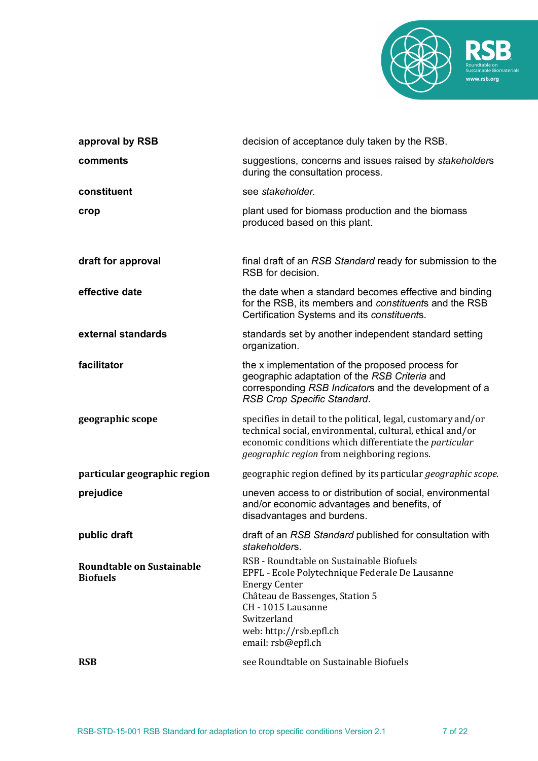

| approval by RSB                                     | decision of acceptance duly taken by the RSB.                                                                                                                                                                                                |
|-----------------------------------------------------|----------------------------------------------------------------------------------------------------------------------------------------------------------------------------------------------------------------------------------------------|
| comments                                            | suggestions, concerns and issues raised by stakeholders<br>during the consultation process.                                                                                                                                                  |
| constituent                                         | see stakeholder.                                                                                                                                                                                                                             |
| crop                                                | plant used for biomass production and the biomass<br>produced based on this plant.                                                                                                                                                           |
| draft for approval                                  | final draft of an RSB Standard ready for submission to the<br>RSB for decision.                                                                                                                                                              |
| effective date                                      | the date when a standard becomes effective and binding<br>for the RSB, its members and constituents and the RSB<br>Certification Systems and its constituents.                                                                               |
| external standards                                  | standards set by another independent standard setting<br>organization.                                                                                                                                                                       |
| facilitator                                         | the x implementation of the proposed process for<br>geographic adaptation of the RSB Criteria and<br>corresponding RSB Indicators and the development of a<br>RSB Crop Specific Standard.                                                    |
| geographic scope                                    | specifies in detail to the political, legal, customary and/or<br>technical social, environmental, cultural, ethical and/or<br>economic conditions which differentiate the particular<br>geographic region from neighboring regions.          |
| particular geographic region                        | geographic region defined by its particular <i>geographic scope</i> .                                                                                                                                                                        |
| prejudice                                           | uneven access to or distribution of social, environmental<br>and/or economic advantages and benefits, of<br>disadvantages and burdens.                                                                                                       |
| public draft                                        | draft of an RSB Standard published for consultation with<br>stakeholders.                                                                                                                                                                    |
| <b>Roundtable on Sustainable</b><br><b>Biofuels</b> | RSB - Roundtable on Sustainable Biofuels<br>EPFL - Ecole Polytechnique Federale De Lausanne<br><b>Energy Center</b><br>Château de Bassenges, Station 5<br>CH - 1015 Lausanne<br>Switzerland<br>web: http://rsb.epfl.ch<br>email: rsb@epfl.ch |
| <b>RSB</b>                                          | see Roundtable on Sustainable Biofuels                                                                                                                                                                                                       |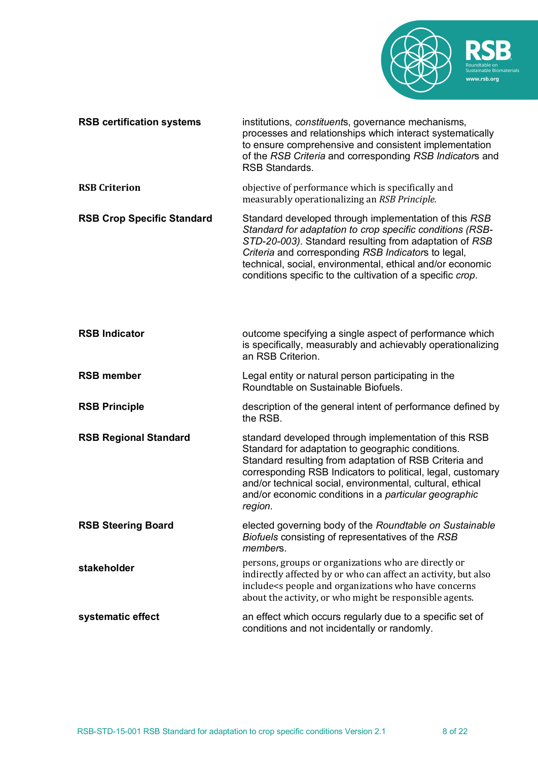

| <b>RSB certification systems</b>  | institutions, constituents, governance mechanisms,<br>processes and relationships which interact systematically<br>to ensure comprehensive and consistent implementation<br>of the RSB Criteria and corresponding RSB Indicators and<br><b>RSB Standards.</b>                                                                                                        |
|-----------------------------------|----------------------------------------------------------------------------------------------------------------------------------------------------------------------------------------------------------------------------------------------------------------------------------------------------------------------------------------------------------------------|
| <b>RSB Criterion</b>              | objective of performance which is specifically and<br>measurably operationalizing an RSB Principle.                                                                                                                                                                                                                                                                  |
| <b>RSB Crop Specific Standard</b> | Standard developed through implementation of this RSB<br>Standard for adaptation to crop specific conditions (RSB-<br>STD-20-003). Standard resulting from adaptation of RSB<br>Criteria and corresponding RSB Indicators to legal,<br>technical, social, environmental, ethical and/or economic<br>conditions specific to the cultivation of a specific crop.       |
| <b>RSB Indicator</b>              | outcome specifying a single aspect of performance which<br>is specifically, measurably and achievably operationalizing<br>an RSB Criterion.                                                                                                                                                                                                                          |
| <b>RSB member</b>                 | Legal entity or natural person participating in the<br>Roundtable on Sustainable Biofuels.                                                                                                                                                                                                                                                                           |
| <b>RSB Principle</b>              | description of the general intent of performance defined by<br>the RSB.                                                                                                                                                                                                                                                                                              |
| <b>RSB Regional Standard</b>      | standard developed through implementation of this RSB<br>Standard for adaptation to geographic conditions.<br>Standard resulting from adaptation of RSB Criteria and<br>corresponding RSB Indicators to political, legal, customary<br>and/or technical social, environmental, cultural, ethical<br>and/or economic conditions in a particular geographic<br>region. |
| <b>RSB Steering Board</b>         | elected governing body of the Roundtable on Sustainable<br>Biofuels consisting of representatives of the RSB<br>members.                                                                                                                                                                                                                                             |
| stakeholder                       | persons, groups or organizations who are directly or<br>indirectly affected by or who can affect an activity, but also<br>include <s and="" concerns<br="" have="" organizations="" people="" who="">about the activity, or who might be responsible agents.</s>                                                                                                     |
| systematic effect                 | an effect which occurs regularly due to a specific set of<br>conditions and not incidentally or randomly.                                                                                                                                                                                                                                                            |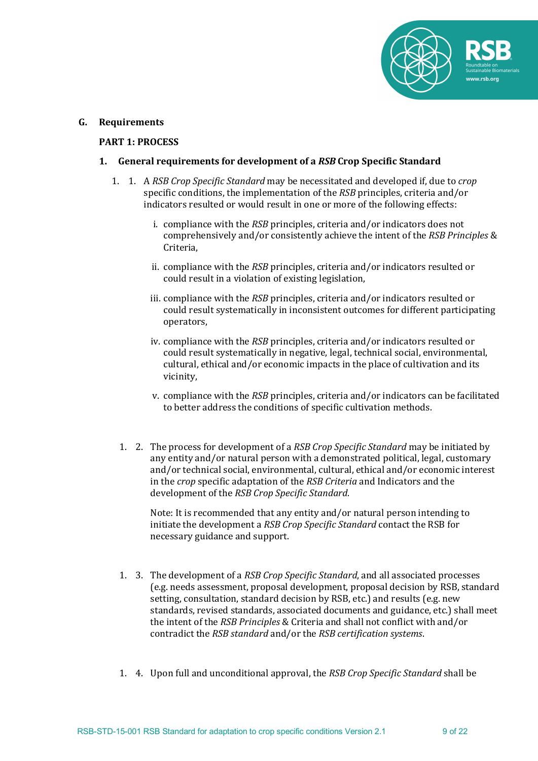

#### **G. Requirements**

#### **PART 1: PROCESS**

### **1.** General requirements for development of a RSB Crop Specific Standard

- 1. 1. A *RSB Crop Specific Standard* may be necessitated and developed if, due to *crop* specific conditions, the implementation of the *RSB* principles, criteria and/or indicators resulted or would result in one or more of the following effects:
	- i. compliance with the *RSB* principles, criteria and/or indicators does not comprehensively and/or consistently achieve the intent of the *RSB Principles* & Criteria,
	- ii. compliance with the *RSB* principles, criteria and/or indicators resulted or could result in a violation of existing legislation,
	- iii. compliance with the *RSB* principles, criteria and/or indicators resulted or could result systematically in inconsistent outcomes for different participating operators,
	- iv. compliance with the *RSB* principles, criteria and/or indicators resulted or could result systematically in negative, legal, technical social, environmental, cultural, ethical and/or economic impacts in the place of cultivation and its vicinity,
	- v. compliance with the *RSB* principles, criteria and/or indicators can be facilitated to better address the conditions of specific cultivation methods.
	- 1. 2. The process for development of a *RSB Crop Specific Standard* may be initiated by any entity and/or natural person with a demonstrated political, legal, customary and/or technical social, environmental, cultural, ethical and/or economic interest in the *crop* specific adaptation of the *RSB Criterig* and Indicators and the development of the *RSB Crop Specific Standard*.

Note: It is recommended that any entity and/or natural person intending to initiate the development a *RSB Crop Specific Standard* contact the RSB for necessary guidance and support.

- 1. 3. The development of a *RSB Crop Specific Standard*, and all associated processes (e.g. needs assessment, proposal development, proposal decision by RSB, standard setting, consultation, standard decision by RSB, etc.) and results (e.g. new standards, revised standards, associated documents and guidance, etc.) shall meet the intent of the *RSB Principles* & Criteria and shall not conflict with and/or contradict the *RSB* standard and/or the *RSB certification systems*.
- 1. 4. Upon full and unconditional approval, the *RSB Crop Specific Standard* shall be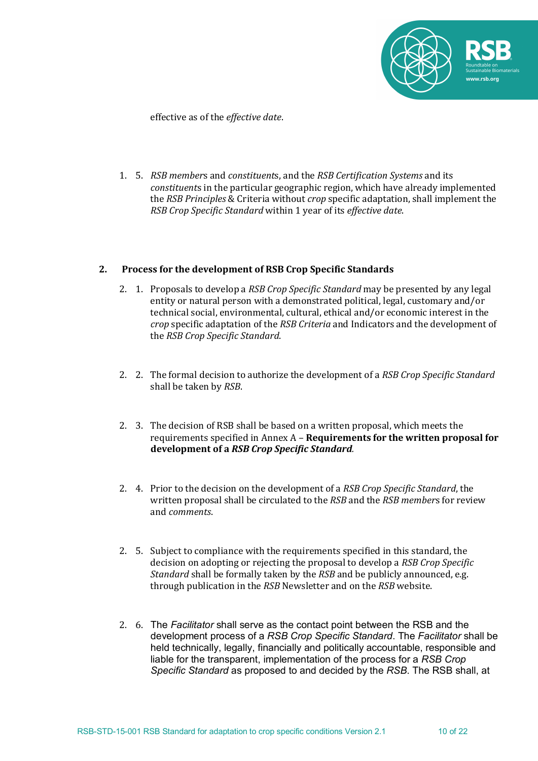

effective as of the *effective date*. 

1. 5. *RSB* members and *constituents*, and the *RSB Certification Systems* and its *constituents* in the particular geographic region, which have already implemented the *RSB Principles* & Criteria without *crop* specific adaptation, shall implement the *RSB Crop Specific Standard* within 1 year of its *effective date*.

### 2. Process for the development of RSB Crop Specific Standards

- 2. 1. Proposals to develop a *RSB Crop Specific Standard* may be presented by any legal entity or natural person with a demonstrated political, legal, customary and/or technical social, environmental, cultural, ethical and/or economic interest in the *crop* specific adaptation of the *RSB Criteria* and Indicators and the development of the *RSB* Crop Specific Standard.
- 2. 2. The formal decision to authorize the development of a *RSB Crop Specific Standard* shall be taken by *RSB*.
- 2. 3. The decision of RSB shall be based on a written proposal, which meets the requirements specified in Annex A - **Requirements for the written proposal for development of a** *RSB Crop Specific Standard.*
- 2. 4. Prior to the decision on the development of a RSB Crop Specific Standard, the written proposal shall be circulated to the *RSB* and the *RSB members* for review and *comments*.
- 2. 5. Subject to compliance with the requirements specified in this standard, the decision on adopting or rejecting the proposal to develop a *RSB Crop Specific Standard* shall be formally taken by the *RSB* and be publicly announced, e.g. through publication in the *RSB* Newsletter and on the *RSB* website.
- 2. 6. The *Facilitator* shall serve as the contact point between the RSB and the development process of a *RSB Crop Specific Standard*. The *Facilitator* shall be held technically, legally, financially and politically accountable, responsible and liable for the transparent, implementation of the process for a *RSB Crop Specific Standard* as proposed to and decided by the *RSB*. The RSB shall, at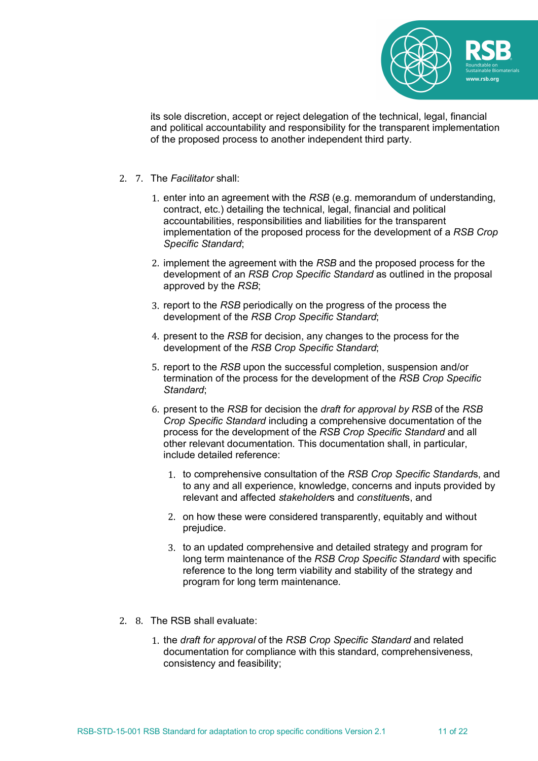

its sole discretion, accept or reject delegation of the technical, legal, financial and political accountability and responsibility for the transparent implementation of the proposed process to another independent third party.

- 2. 7. The *Facilitator* shall:
	- 1. enter into an agreement with the *RSB* (e.g. memorandum of understanding, contract, etc.) detailing the technical, legal, financial and political accountabilities, responsibilities and liabilities for the transparent implementation of the proposed process for the development of a *RSB Crop Specific Standard*;
	- 2. implement the agreement with the *RSB* and the proposed process for the development of an *RSB Crop Specific Standard* as outlined in the proposal approved by the *RSB*;
	- 3. report to the *RSB* periodically on the progress of the process the development of the *RSB Crop Specific Standard*;
	- 4. present to the *RSB* for decision, any changes to the process for the development of the *RSB Crop Specific Standard*;
	- 5. report to the *RSB* upon the successful completion, suspension and/or termination of the process for the development of the *RSB Crop Specific Standard*;
	- 6. present to the *RSB* for decision the *draft for approval by RSB* of the *RSB Crop Specific Standard* including a comprehensive documentation of the process for the development of the *RSB Crop Specific Standard* and all other relevant documentation. This documentation shall, in particular, include detailed reference:
		- 1. to comprehensive consultation of the *RSB Crop Specific Standard*s, and to any and all experience, knowledge, concerns and inputs provided by relevant and affected *stakeholder*s and *constituent*s, and
		- 2. on how these were considered transparently, equitably and without prejudice.
		- 3. to an updated comprehensive and detailed strategy and program for long term maintenance of the *RSB Crop Specific Standard* with specific reference to the long term viability and stability of the strategy and program for long term maintenance.
- 2. 8. The RSB shall evaluate:
	- 1. the *draft for approval* of the *RSB Crop Specific Standard* and related documentation for compliance with this standard, comprehensiveness, consistency and feasibility;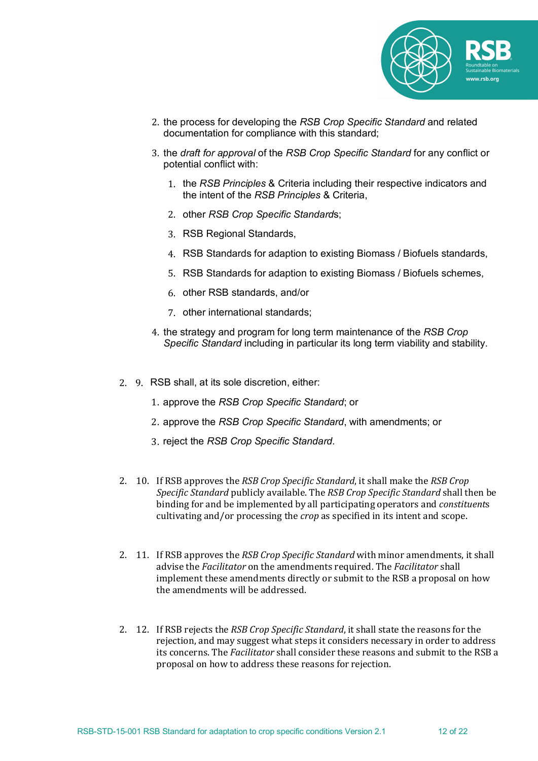

- 2. the process for developing the *RSB Crop Specific Standard* and related documentation for compliance with this standard;
- 3. the *draft for approval* of the *RSB Crop Specific Standard* for any conflict or potential conflict with:
	- 1. the *RSB Principles* & Criteria including their respective indicators and the intent of the *RSB Principles* & Criteria,
	- 2. other *RSB Crop Specific Standard*s;
	- 3. RSB Regional Standards,
	- 4. RSB Standards for adaption to existing Biomass / Biofuels standards,
	- 5. RSB Standards for adaption to existing Biomass / Biofuels schemes,
	- 6. other RSB standards, and/or
	- 7. other international standards;
- 4. the strategy and program for long term maintenance of the *RSB Crop Specific Standard* including in particular its long term viability and stability.
- 2. 9. RSB shall, at its sole discretion, either:
	- 1. approve the *RSB Crop Specific Standard*; or
	- 2. approve the *RSB Crop Specific Standard*, with amendments; or
	- 3. reject the *RSB Crop Specific Standard*.
- 2. 10. If RSB approves the *RSB Crop Specific Standard*, it shall make the *RSB Crop Specific Standard* publicly available. The *RSB Crop Specific Standard* shall then be binding for and be implemented by all participating operators and *constituents* cultivating and/or processing the *crop* as specified in its intent and scope.
- 2. 11. If RSB approves the *RSB Crop Specific Standard* with minor amendments, it shall advise the *Facilitator* on the amendments required. The *Facilitator* shall implement these amendments directly or submit to the RSB a proposal on how the amendments will be addressed.
- 2. 12. If RSB rejects the *RSB Crop Specific Standard*, it shall state the reasons for the rejection, and may suggest what steps it considers necessary in order to address its concerns. The *Facilitator* shall consider these reasons and submit to the RSB a proposal on how to address these reasons for rejection.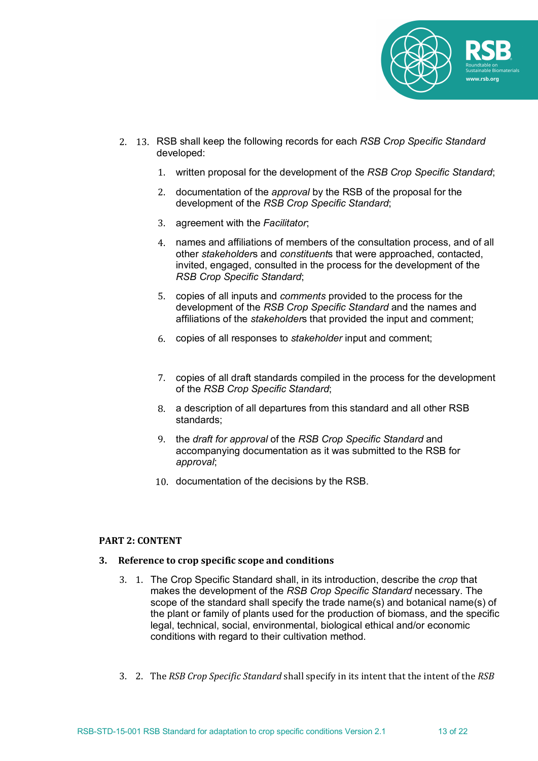

- 2. 13. RSB shall keep the following records for each *RSB Crop Specific Standard* developed:
	- 1. written proposal for the development of the *RSB Crop Specific Standard*;
	- 2. documentation of the *approval* by the RSB of the proposal for the development of the *RSB Crop Specific Standard*;
	- 3. agreement with the *Facilitator*;
	- 4. names and affiliations of members of the consultation process, and of all other *stakeholder*s and *constituent*s that were approached, contacted, invited, engaged, consulted in the process for the development of the *RSB Crop Specific Standard*;
	- 5. copies of all inputs and *comments* provided to the process for the development of the *RSB Crop Specific Standard* and the names and affiliations of the *stakeholder*s that provided the input and comment;
	- 6. copies of all responses to *stakeholder* input and comment;
	- 7. copies of all draft standards compiled in the process for the development of the *RSB Crop Specific Standard*;
	- 8. a description of all departures from this standard and all other RSB standards;
	- 9. the *draft for approval* of the *RSB Crop Specific Standard* and accompanying documentation as it was submitted to the RSB for *approval*;
	- 10. documentation of the decisions by the RSB.

#### **PART 2: CONTENT**

#### **3.** Reference to crop specific scope and conditions

- 3. 1. The Crop Specific Standard shall, in its introduction, describe the *crop* that makes the development of the *RSB Crop Specific Standard* necessary. The scope of the standard shall specify the trade name(s) and botanical name(s) of the plant or family of plants used for the production of biomass, and the specific legal, technical, social, environmental, biological ethical and/or economic conditions with regard to their cultivation method.
- 3. 2. The *RSB Crop Specific Standard* shall specify in its intent that the intent of the *RSB*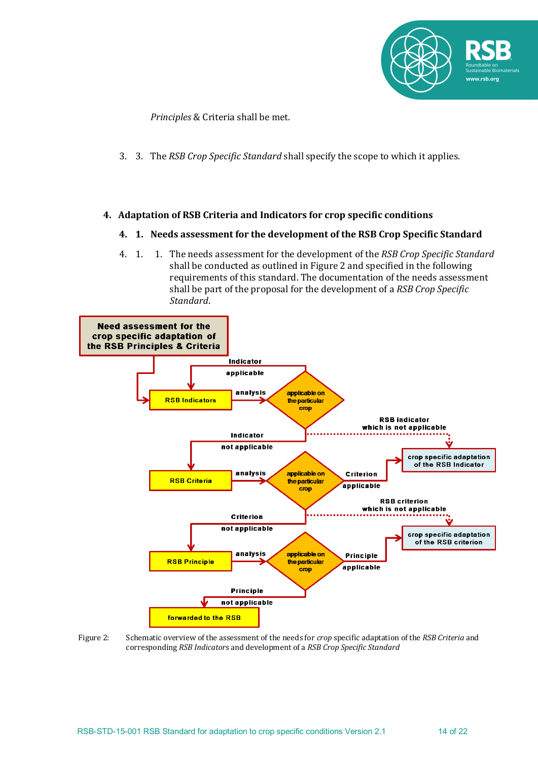

*Principles* & Criteria shall be met.

3. 3. The *RSB Crop Specific Standard* shall specify the scope to which it applies.

## **4. Adaptation of RSB Criteria and Indicators for crop specific conditions**

### **4. 1.** Needs assessment for the development of the RSB Crop Specific Standard

4. 1. 1. The needs assessment for the development of the *RSB Crop Specific Standard* shall be conducted as outlined in Figure 2 and specified in the following requirements of this standard. The documentation of the needs assessment shall be part of the proposal for the development of a *RSB Crop Specific Standard*.



Figure 2: Schematic overview of the assessment of the needs for *crop* specific adaptation of the *RSB Criteria* and corresponding *RSB Indicators* and development of a *RSB Crop Specific Standard*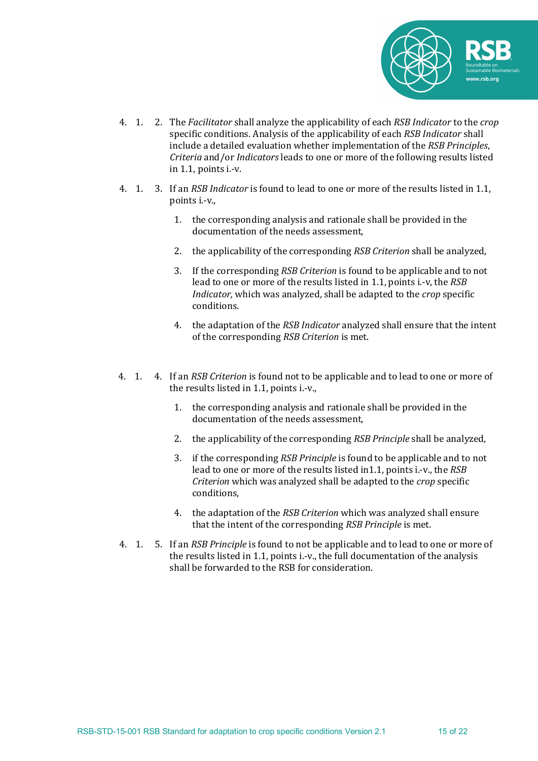

- 4. 1. 2. The *Facilitator* shall analyze the applicability of each *RSB Indicator* to the *crop* specific conditions. Analysis of the applicability of each *RSB Indicator* shall include a detailed evaluation whether implementation of the *RSB Principles*, *Criteria* and/or *Indicators* leads to one or more of the following results listed in  $1.1$ , points i.-v.
- 4. 1. 3. If an *RSB Indicator* is found to lead to one or more of the results listed in 1.1, points *i.-v.*,
	- 1. the corresponding analysis and rationale shall be provided in the documentation of the needs assessment,
	- 2. the applicability of the corresponding *RSB Criterion* shall be analyzed,
	- 3. If the corresponding *RSB Criterion* is found to be applicable and to not lead to one or more of the results listed in 1.1, points i.-v, the *RSB Indicator*, which was analyzed, shall be adapted to the *crop* specific conditions.
	- 4. the adaptation of the *RSB Indicator* analyzed shall ensure that the intent of the corresponding *RSB Criterion* is met.
- 4. 1. 4. If an *RSB Criterion* is found not to be applicable and to lead to one or more of the results listed in  $1.1$ , points i.-v.,
	- 1. the corresponding analysis and rationale shall be provided in the documentation of the needs assessment,
	- 2. the applicability of the corresponding *RSB Principle* shall be analyzed,
	- 3. if the corresponding *RSB Principle* is found to be applicable and to not lead to one or more of the results listed in1.1, points i.-v., the *RSB Criterion* which was analyzed shall be adapted to the *crop* specific conditions,
	- 4. the adaptation of the *RSB Criterion* which was analyzed shall ensure that the intent of the corresponding *RSB Principle* is met.
- 4. 1. 5. If an *RSB Principle* is found to not be applicable and to lead to one or more of the results listed in 1.1, points i.-v., the full documentation of the analysis shall be forwarded to the RSB for consideration.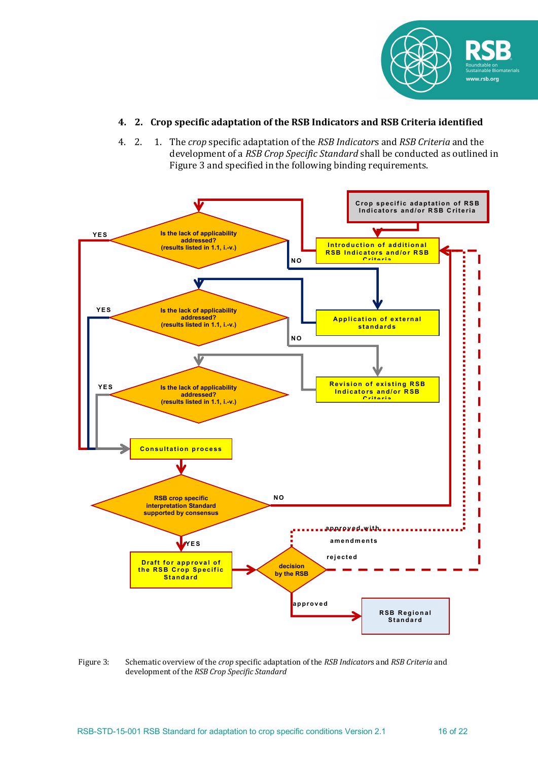

# **4. 2. Crop specific adaptation of the RSB Indicators and RSB Criteria identified**

4. 2. 1. The *crop* specific adaptation of the *RSB Indicators* and *RSB Criteria* and the development of a *RSB Crop Specific Standard* shall be conducted as outlined in Figure 3 and specified in the following binding requirements.



Figure 3: Schematic overview of the *crop* specific adaptation of the *RSB Indicators* and *RSB Criteria* and development of the *RSB Crop Specific Standard*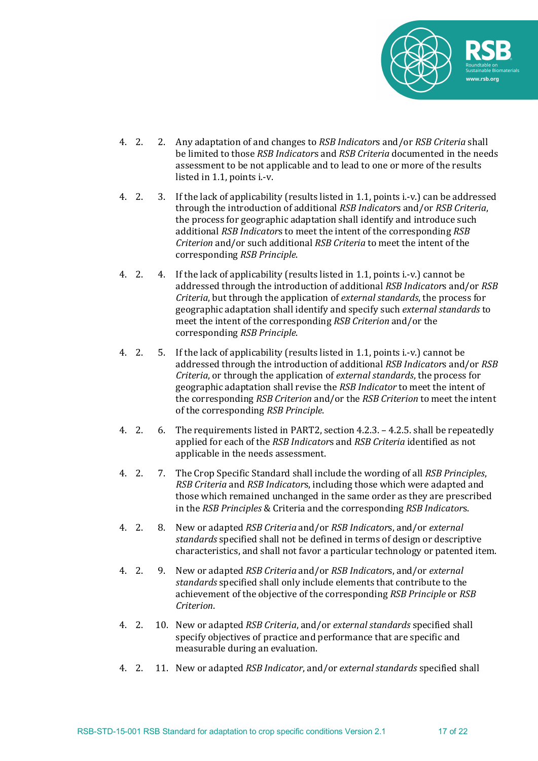

- 4. 2. 2. Any adaptation of and changes to *RSB Indicators* and/or *RSB Criteria* shall be limited to those *RSB Indicators* and *RSB Criteria* documented in the needs assessment to be not applicable and to lead to one or more of the results listed in 1.1, points i.-v.
- 4. 2. 3. If the lack of applicability (results listed in 1.1, points i.-v.) can be addressed through the introduction of additional *RSB Indicators* and/or *RSB Criteria*, the process for geographic adaptation shall identify and introduce such additional *RSB Indicators* to meet the intent of the corresponding *RSB Criterion* and/or such additional *RSB Criteria* to meet the intent of the corresponding *RSB Principle*.
- 4. 2. 4. If the lack of applicability (results listed in 1.1, points i.-v.) cannot be addressed through the introduction of additional *RSB Indicators* and/or *RSB Criteria*, but through the application of *external standards*, the process for geographic adaptation shall identify and specify such *external standards* to meet the intent of the corresponding *RSB Criterion* and/or the corresponding *RSB Principle*.
- 4. 2. 5. If the lack of applicability (results listed in 1.1, points i.-v.) cannot be addressed through the introduction of additional *RSB Indicators* and/or *RSB Criteria*, or through the application of *external standards*, the process for geographic adaptation shall revise the *RSB Indicator* to meet the intent of the corresponding *RSB Criterion* and/or the *RSB Criterion* to meet the intent of the corresponding *RSB Principle*.
- 4. 2. 6. The requirements listed in PART2, section  $4.2.3$ .  $-4.2.5$ . shall be repeatedly applied for each of the *RSB Indicators* and *RSB Criteria* identified as not applicable in the needs assessment.
- 4. 2. 7. The Crop Specific Standard shall include the wording of all *RSB Principles*, *RSB Criteria* and *RSB Indicators*, including those which were adapted and those which remained unchanged in the same order as they are prescribed in the *RSB Principles* & Criteria and the corresponding *RSB Indicators*.
- 4. 2. 8. New or adapted *RSB Criteria* and/or *RSB Indicators*, and/or *external standards* specified shall not be defined in terms of design or descriptive characteristics, and shall not favor a particular technology or patented item.
- 4. 2. 9. New or adapted *RSB Criteria* and/or *RSB Indicators*, and/or *external standards* specified shall only include elements that contribute to the achievement of the objective of the corresponding *RSB Principle* or *RSB Criterion*.
- 4. 2. 10. New or adapted *RSB Criteria*, and/or *external standards* specified shall specify objectives of practice and performance that are specific and measurable during an evaluation.
- 4. 2. 11. New or adapted *RSB Indicator*, and/or *external standards* specified shall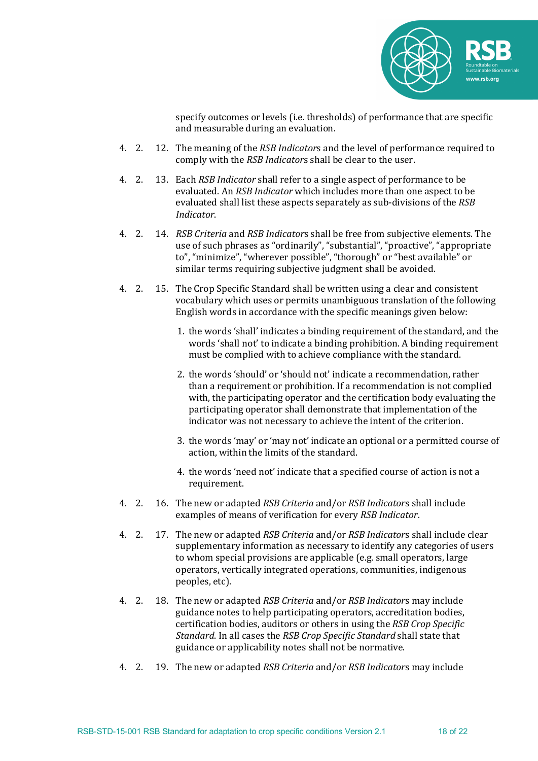

specify outcomes or levels (i.e. thresholds) of performance that are specific and measurable during an evaluation.

- 4. 2. 12. The meaning of the *RSB Indicators* and the level of performance required to comply with the *RSB Indicators* shall be clear to the user.
- 4. 2. 13. Each *RSB Indicator* shall refer to a single aspect of performance to be evaluated. An *RSB Indicator* which includes more than one aspect to be evaluated shall list these aspects separately as sub-divisions of the *RSB Indicator*.
- 4. 2. 14. *RSB Criteria* and *RSB Indicators* shall be free from subjective elements. The use of such phrases as "ordinarily", "substantial", "proactive", "appropriate to", "minimize", "wherever possible", "thorough" or "best available" or similar terms requiring subjective judgment shall be avoided.
- 4. 2. 15. The Crop Specific Standard shall be written using a clear and consistent vocabulary which uses or permits unambiguous translation of the following English words in accordance with the specific meanings given below:
	- 1. the words 'shall' indicates a binding requirement of the standard, and the words 'shall not' to indicate a binding prohibition. A binding requirement must be complied with to achieve compliance with the standard.
	- 2. the words 'should' or 'should not' indicate a recommendation, rather than a requirement or prohibition. If a recommendation is not complied with, the participating operator and the certification body evaluating the participating operator shall demonstrate that implementation of the indicator was not necessary to achieve the intent of the criterion.
	- 3. the words 'may' or 'may not' indicate an optional or a permitted course of action, within the limits of the standard.
	- 4. the words 'need not' indicate that a specified course of action is not a requirement.
- 4. 2. 16. The new or adapted *RSB Criteria* and/or *RSB Indicators* shall include examples of means of verification for every *RSB Indicator*.
- 4. 2. 17. The new or adapted *RSB Criteria* and/or *RSB Indicators* shall include clear supplementary information as necessary to identify any categories of users to whom special provisions are applicable (e.g. small operators, large operators, vertically integrated operations, communities, indigenous peoples, etc).
- 4. 2. 18. The new or adapted *RSB Criteria* and/or *RSB Indicators* may include guidance notes to help participating operators, accreditation bodies, certification bodies, auditors or others in using the *RSB Crop Specific Standard*. In all cases the *RSB Crop Specific Standard* shall state that guidance or applicability notes shall not be normative.
- 4. 2. 19. The new or adapted *RSB Criteria* and/or *RSB Indicators* may include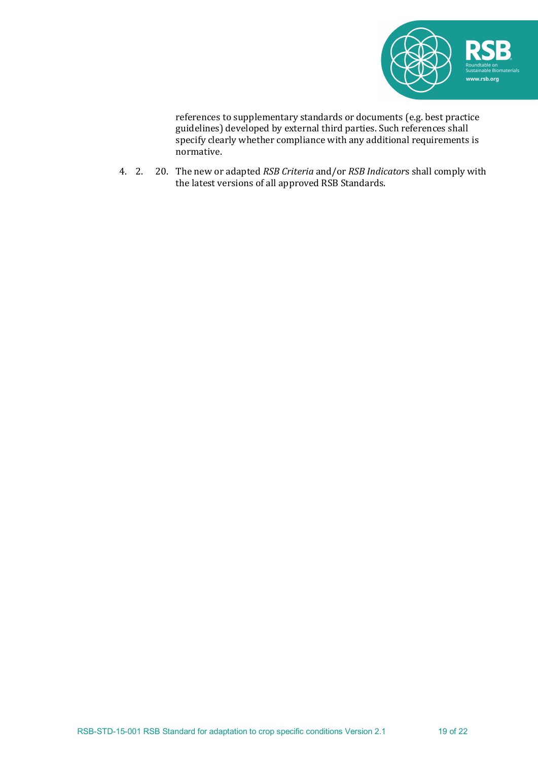

references to supplementary standards or documents (e.g. best practice guidelines) developed by external third parties. Such references shall specify clearly whether compliance with any additional requirements is normative.

4. 2. 20. The new or adapted *RSB Criteria* and/or *RSB Indicators* shall comply with the latest versions of all approved RSB Standards.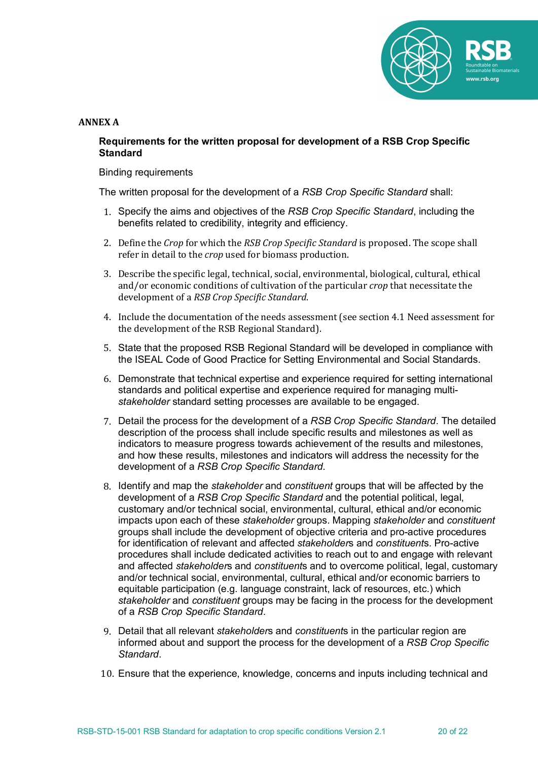

### **ANNEX A**

## **Requirements for the written proposal for development of a RSB Crop Specific Standard**

Binding requirements

The written proposal for the development of a *RSB Crop Specific Standard* shall:

- 1. Specify the aims and objectives of the *RSB Crop Specific Standard*, including the benefits related to credibility, integrity and efficiency.
- 2. Define the *Crop* for which the *RSB Crop Specific Standard* is proposed. The scope shall refer in detail to the *crop* used for biomass production.
- 3. Describe the specific legal, technical, social, environmental, biological, cultural, ethical and/or economic conditions of cultivation of the particular *crop* that necessitate the development of a *RSB Crop Specific Standard*.
- 4. Include the documentation of the needs assessment (see section 4.1 Need assessment for the development of the RSB Regional Standard).
- 5. State that the proposed RSB Regional Standard will be developed in compliance with the ISEAL Code of Good Practice for Setting Environmental and Social Standards.
- 6. Demonstrate that technical expertise and experience required for setting international standards and political expertise and experience required for managing multi*stakeholder* standard setting processes are available to be engaged.
- 7. Detail the process for the development of a *RSB Crop Specific Standard*. The detailed description of the process shall include specific results and milestones as well as indicators to measure progress towards achievement of the results and milestones, and how these results, milestones and indicators will address the necessity for the development of a *RSB Crop Specific Standard*.
- 8. Identify and map the *stakeholder* and *constituent* groups that will be affected by the development of a *RSB Crop Specific Standard* and the potential political, legal, customary and/or technical social, environmental, cultural, ethical and/or economic impacts upon each of these *stakeholder* groups. Mapping *stakeholder* and *constituent* groups shall include the development of objective criteria and pro-active procedures for identification of relevant and affected *stakeholder*s and *constituent*s. Pro-active procedures shall include dedicated activities to reach out to and engage with relevant and affected *stakeholder*s and *constituent*s and to overcome political, legal, customary and/or technical social, environmental, cultural, ethical and/or economic barriers to equitable participation (e.g. language constraint, lack of resources, etc.) which *stakeholder* and *constituent* groups may be facing in the process for the development of a *RSB Crop Specific Standard*.
- 9. Detail that all relevant *stakeholder*s and *constituent*s in the particular region are informed about and support the process for the development of a *RSB Crop Specific Standard*.
- 10. Ensure that the experience, knowledge, concerns and inputs including technical and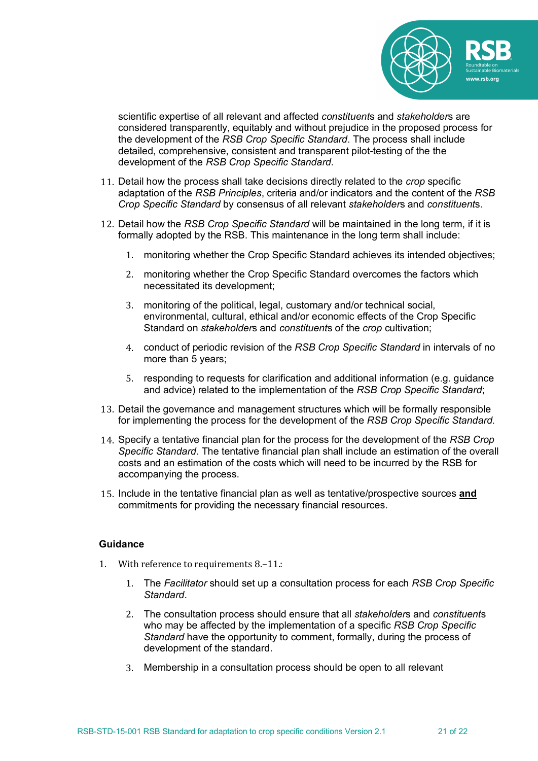

scientific expertise of all relevant and affected *constituent*s and *stakeholder*s are considered transparently, equitably and without prejudice in the proposed process for the development of the *RSB Crop Specific Standard*. The process shall include detailed, comprehensive, consistent and transparent pilot-testing of the the development of the *RSB Crop Specific Standard*.

- 11. Detail how the process shall take decisions directly related to the *crop* specific adaptation of the *RSB Principles*, criteria and/or indicators and the content of the *RSB Crop Specific Standard* by consensus of all relevant *stakeholder*s and *constituent*s.
- 12. Detail how the *RSB Crop Specific Standard* will be maintained in the long term, if it is formally adopted by the RSB. This maintenance in the long term shall include:
	- 1. monitoring whether the Crop Specific Standard achieves its intended objectives;
	- 2. monitoring whether the Crop Specific Standard overcomes the factors which necessitated its development;
	- 3. monitoring of the political, legal, customary and/or technical social, environmental, cultural, ethical and/or economic effects of the Crop Specific Standard on *stakeholder*s and *constituent*s of the *crop* cultivation;
	- 4. conduct of periodic revision of the *RSB Crop Specific Standard* in intervals of no more than 5 years;
	- 5. responding to requests for clarification and additional information (e.g. guidance and advice) related to the implementation of the *RSB Crop Specific Standard*;
- 13. Detail the governance and management structures which will be formally responsible for implementing the process for the development of the *RSB Crop Specific Standard*.
- 14. Specify a tentative financial plan for the process for the development of the *RSB Crop Specific Standard*. The tentative financial plan shall include an estimation of the overall costs and an estimation of the costs which will need to be incurred by the RSB for accompanying the process.
- 15. Include in the tentative financial plan as well as tentative/prospective sources **and** commitments for providing the necessary financial resources.

## **Guidance**

- 1. With reference to requirements 8.-11.:
	- 1. The *Facilitator* should set up a consultation process for each *RSB Crop Specific Standard*.
	- 2. The consultation process should ensure that all *stakeholder*s and *constituent*s who may be affected by the implementation of a specific *RSB Crop Specific Standard* have the opportunity to comment, formally, during the process of development of the standard.
	- 3. Membership in a consultation process should be open to all relevant